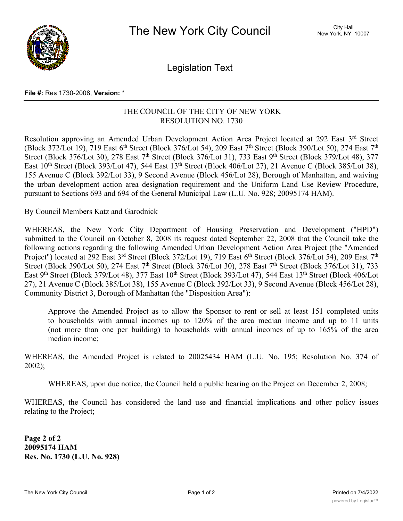

Legislation Text

## **File #:** Res 1730-2008, **Version:** \*

## THE COUNCIL OF THE CITY OF NEW YORK RESOLUTION NO. 1730

Resolution approving an Amended Urban Development Action Area Project located at 292 East 3rd Street (Block 372/Lot 19), 719 East 6<sup>th</sup> Street (Block 376/Lot 54), 209 East 7<sup>th</sup> Street (Block 390/Lot 50), 274 East 7<sup>th</sup> Street (Block 376/Lot 30), 278 East 7<sup>th</sup> Street (Block 376/Lot 31), 733 East 9<sup>th</sup> Street (Block 379/Lot 48), 377 East 10<sup>th</sup> Street (Block 393/Lot 47), 544 East 13<sup>th</sup> Street (Block 406/Lot 27), 21 Avenue C (Block 385/Lot 38), 155 Avenue C (Block 392/Lot 33), 9 Second Avenue (Block 456/Lot 28), Borough of Manhattan, and waiving the urban development action area designation requirement and the Uniform Land Use Review Procedure, pursuant to Sections 693 and 694 of the General Municipal Law (L.U. No. 928; 20095174 HAM).

By Council Members Katz and Garodnick

WHEREAS, the New York City Department of Housing Preservation and Development ("HPD") submitted to the Council on October 8, 2008 its request dated September 22, 2008 that the Council take the following actions regarding the following Amended Urban Development Action Area Project (the "Amended Project") located at 292 East 3<sup>rd</sup> Street (Block 372/Lot 19), 719 East 6<sup>th</sup> Street (Block 376/Lot 54), 209 East 7<sup>th</sup> Street (Block 390/Lot 50), 274 East 7<sup>th</sup> Street (Block 376/Lot 30), 278 East 7<sup>th</sup> Street (Block 376/Lot 31), 733 East 9<sup>th</sup> Street (Block 379/Lot 48), 377 East 10<sup>th</sup> Street (Block 393/Lot 47), 544 East 13<sup>th</sup> Street (Block 406/Lot 27), 21 Avenue C (Block 385/Lot 38), 155 Avenue C (Block 392/Lot 33), 9 Second Avenue (Block 456/Lot 28), Community District 3, Borough of Manhattan (the "Disposition Area"):

Approve the Amended Project as to allow the Sponsor to rent or sell at least 151 completed units to households with annual incomes up to 120% of the area median income and up to 11 units (not more than one per building) to households with annual incomes of up to 165% of the area median income;

WHEREAS, the Amended Project is related to 20025434 HAM (L.U. No. 195; Resolution No. 374 of 2002);

WHEREAS, upon due notice, the Council held a public hearing on the Project on December 2, 2008;

WHEREAS, the Council has considered the land use and financial implications and other policy issues relating to the Project;

**Page 2 of 2 20095174 HAM Res. No. 1730 (L.U. No. 928)**